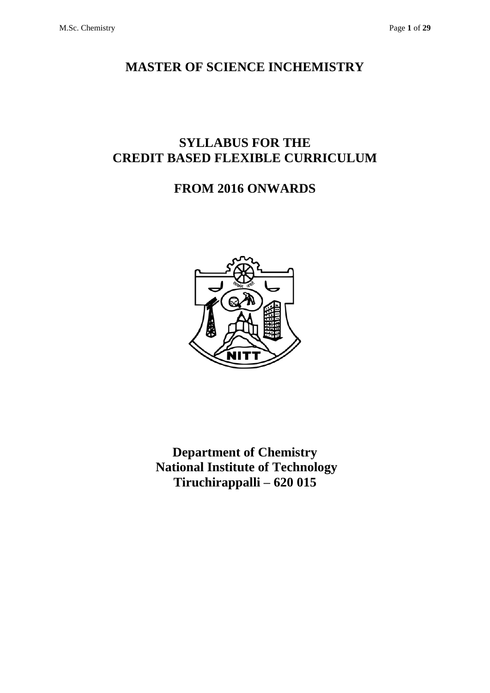## **MASTER OF SCIENCE INCHEMISTRY**

# **SYLLABUS FOR THE CREDIT BASED FLEXIBLE CURRICULUM**

# **FROM 2016 ONWARDS**



**Department of Chemistry National Institute of Technology Tiruchirappalli – 620 015**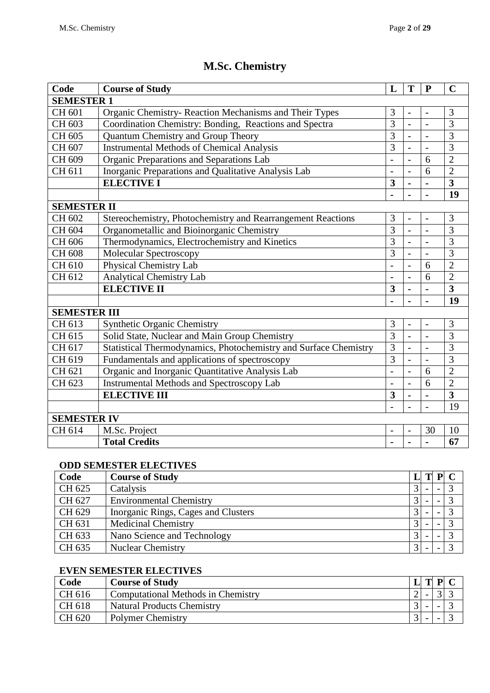# **M.Sc. Chemistry**

| Code                | <b>Course of Study</b>                                           | L                        | T                        | $\mathbf{P}$   | $\mathbf C$             |  |  |  |
|---------------------|------------------------------------------------------------------|--------------------------|--------------------------|----------------|-------------------------|--|--|--|
| <b>SEMESTER 1</b>   |                                                                  |                          |                          |                |                         |  |  |  |
| CH 601              | Organic Chemistry-Reaction Mechanisms and Their Types            | 3                        | $\overline{\phantom{a}}$ | $\overline{a}$ | 3                       |  |  |  |
| CH 603              | Coordination Chemistry: Bonding, Reactions and Spectra           | 3                        | $\overline{a}$           |                | 3                       |  |  |  |
| CH 605              | Quantum Chemistry and Group Theory                               | 3                        | $\overline{a}$           |                | 3                       |  |  |  |
| CH 607              | <b>Instrumental Methods of Chemical Analysis</b>                 | 3                        | $\overline{a}$           |                | 3                       |  |  |  |
| CH 609              | Organic Preparations and Separations Lab                         |                          | $\overline{\phantom{0}}$ | 6              | $\overline{2}$          |  |  |  |
| CH 611              | Inorganic Preparations and Qualitative Analysis Lab              | $\overline{\phantom{a}}$ | $\blacksquare$           | 6              | $\overline{2}$          |  |  |  |
|                     | <b>ELECTIVE I</b>                                                | 3                        | $\blacksquare$           | $\blacksquare$ | $\overline{\mathbf{3}}$ |  |  |  |
|                     |                                                                  |                          | $\blacksquare$           |                | 19                      |  |  |  |
| <b>SEMESTER II</b>  |                                                                  |                          |                          |                |                         |  |  |  |
| CH 602              | Stereochemistry, Photochemistry and Rearrangement Reactions      | 3                        | $\overline{\phantom{a}}$ |                | 3                       |  |  |  |
| CH 604              | Organometallic and Bioinorganic Chemistry                        | $\overline{3}$           | $\overline{a}$           | $\overline{a}$ | 3                       |  |  |  |
| CH 606              | Thermodynamics, Electrochemistry and Kinetics                    | 3                        | $\overline{a}$           |                | $\overline{3}$          |  |  |  |
| CH 608              | Molecular Spectroscopy                                           | 3                        | $\overline{a}$           |                | $\overline{3}$          |  |  |  |
| CH 610              | Physical Chemistry Lab                                           |                          | $\overline{a}$           | 6              | $\overline{2}$          |  |  |  |
| CH 612              | <b>Analytical Chemistry Lab</b>                                  |                          |                          | 6              | $\overline{2}$          |  |  |  |
|                     | <b>ELECTIVE II</b>                                               | 3                        | $\blacksquare$           | $\blacksquare$ | $\overline{3}$          |  |  |  |
|                     |                                                                  |                          | $\blacksquare$           |                | 19                      |  |  |  |
| <b>SEMESTER III</b> |                                                                  |                          |                          |                |                         |  |  |  |
| CH 613              | <b>Synthetic Organic Chemistry</b>                               | 3                        | $\overline{a}$           | $\overline{a}$ | 3                       |  |  |  |
| CH 615              | Solid State, Nuclear and Main Group Chemistry                    | 3                        | $\blacksquare$           |                | 3                       |  |  |  |
| CH 617              | Statistical Thermodynamics, Photochemistry and Surface Chemistry | 3                        | $\overline{a}$           | $\overline{a}$ | 3                       |  |  |  |
| CH 619              | Fundamentals and applications of spectroscopy                    | 3                        | $\overline{a}$           |                | 3                       |  |  |  |
| CH 621              | Organic and Inorganic Quantitative Analysis Lab                  | $\overline{\phantom{0}}$ | $\overline{\phantom{a}}$ | 6              | $\overline{2}$          |  |  |  |
| CH 623              | <b>Instrumental Methods and Spectroscopy Lab</b>                 |                          |                          | 6              | $\overline{2}$          |  |  |  |
|                     | <b>ELECTIVE III</b>                                              | 3                        | $\blacksquare$           |                | $\overline{\mathbf{3}}$ |  |  |  |
|                     |                                                                  |                          | $\overline{\phantom{0}}$ | $\overline{a}$ | 19                      |  |  |  |
| <b>SEMESTER IV</b>  |                                                                  |                          |                          |                |                         |  |  |  |
| CH 614              | M.Sc. Project                                                    | $\overline{\phantom{0}}$ | $\overline{\phantom{a}}$ | 30             | 10                      |  |  |  |
|                     | <b>Total Credits</b>                                             |                          |                          |                | 67                      |  |  |  |

### **ODD SEMESTER ELECTIVES**

| Code   | <b>Course of Study</b>              | L              | ${\bf P}$                |                   |
|--------|-------------------------------------|----------------|--------------------------|-------------------|
| CH 625 | Catalysis                           |                | $\overline{\phantom{0}}$ | 3                 |
| CH 627 | <b>Environmental Chemistry</b>      | $\mathcal{R}$  |                          | $\mathbf{\Omega}$ |
| CH 629 | Inorganic Rings, Cages and Clusters |                |                          | $\mathbf 3$       |
| CH 631 | <b>Medicinal Chemistry</b>          |                |                          | 2                 |
| CH 633 | Nano Science and Technology         | 3 <sub>1</sub> |                          | $\mathbf{\Omega}$ |
| CH 635 | <b>Nuclear Chemistry</b>            | $\mathcal{R}$  |                          |                   |

### **EVEN SEMESTER ELECTIVES**

| Code   | <b>Course of Study</b>                    | m | D |  |
|--------|-------------------------------------------|---|---|--|
| CH 616 | <b>Computational Methods in Chemistry</b> |   |   |  |
| CH 618 | <b>Natural Products Chemistry</b>         |   |   |  |
| CH 620 | <b>Polymer Chemistry</b>                  |   |   |  |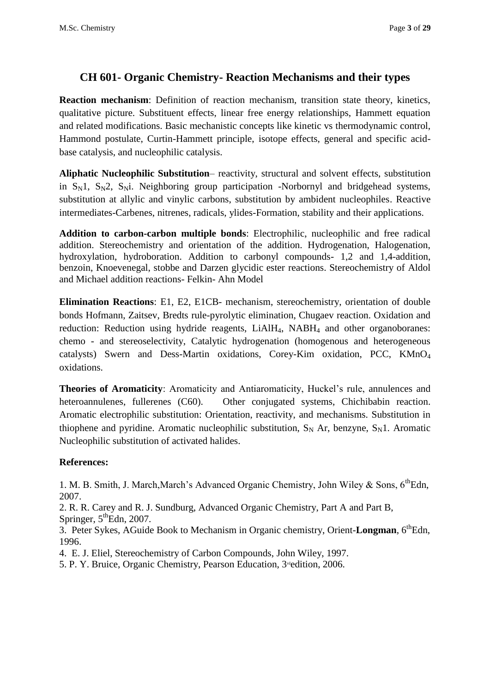### **CH 601- Organic Chemistry- Reaction Mechanisms and their types**

**Reaction mechanism**: Definition of reaction mechanism, transition state theory, kinetics, qualitative picture. Substituent effects, linear free energy relationships, Hammett equation and related modifications. Basic mechanistic concepts like kinetic vs thermodynamic control, Hammond postulate, Curtin-Hammett principle, isotope effects, general and specific acidbase catalysis, and nucleophilic catalysis.

**Aliphatic Nucleophilic Substitution**– reactivity, structural and solvent effects, substitution in  $S_N1$ ,  $S_N2$ ,  $S_Ni$ . Neighboring group participation -Norbornyl and bridgehead systems, substitution at allylic and vinylic carbons, substitution by ambident nucleophiles. Reactive intermediates-Carbenes, nitrenes, radicals, ylides-Formation, stability and their applications.

**Addition to carbon-carbon multiple bonds**: Electrophilic, nucleophilic and free radical addition. Stereochemistry and orientation of the addition. Hydrogenation, Halogenation, hydroxylation, hydroboration. Addition to carbonyl compounds- 1,2 and 1,4-addition, benzoin, Knoevenegal, stobbe and Darzen glycidic ester reactions. Stereochemistry of Aldol and Michael addition reactions- Felkin- Ahn Model

**Elimination Reactions**: E1, E2, E1CB- mechanism, stereochemistry, orientation of double bonds Hofmann, Zaitsev, Bredts rule-pyrolytic elimination, Chugaev reaction. Oxidation and reduction: Reduction using hydride reagents, LiAlH<sub>4</sub>, NABH<sub>4</sub> and other organoboranes: chemo - and stereoselectivity, Catalytic hydrogenation (homogenous and heterogeneous catalysts) Swern and Dess-Martin oxidations, Corey-Kim oxidation, PCC, KMnO<sup>4</sup> oxidations.

**Theories of Aromaticity**: Aromaticity and Antiaromaticity, Huckel's rule, annulences and heteroannulenes, fullerenes (C60). Other conjugated systems, Chichibabin reaction. Aromatic electrophilic substitution: Orientation, reactivity, and mechanisms. Substitution in thiophene and pyridine. Aromatic nucleophilic substitution,  $S_N$  Ar, benzyne,  $S_N$ 1. Aromatic Nucleophilic substitution of activated halides.

### **References:**

1. M. B. Smith, J. March, March's Advanced Organic Chemistry, John Wiley & Sons,  $6^{th}$ Edn, 2007.

2. R. R. Carey and R. J. Sundburg, Advanced Organic Chemistry, Part A and Part B,

Springer,  $5^{\text{th}}$ Edn, 2007.

3. Peter Sykes, AGuide Book to Mechanism in Organic chemistry, Orient-Longman, 6<sup>th</sup>Edn, 1996.

4. E. J. Eliel, Stereochemistry of Carbon Compounds, John Wiley, 1997.

5. P. Y. Bruice, Organic Chemistry, Pearson Education, 3<sup>rd</sup>edition, 2006.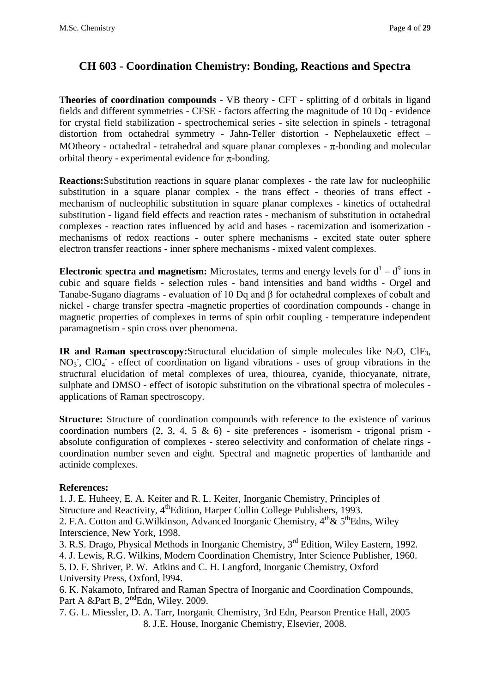## **CH 603 - Coordination Chemistry: Bonding, Reactions and Spectra**

**Theories of coordination compounds** - VB theory - CFT - splitting of d orbitals in ligand fields and different symmetries - CFSE - factors affecting the magnitude of 10 Dq - evidence for crystal field stabilization - spectrochemical series - site selection in spinels - tetragonal distortion from octahedral symmetry - Jahn-Teller distortion - Nephelauxetic effect – MOtheory - octahedral - tetrahedral and square planar complexes -  $\pi$ -bonding and molecular orbital theory - experimental evidence for  $\pi$ -bonding.

**Reactions:**Substitution reactions in square planar complexes - the rate law for nucleophilic substitution in a square planar complex - the trans effect - theories of trans effect mechanism of nucleophilic substitution in square planar complexes - kinetics of octahedral substitution - ligand field effects and reaction rates - mechanism of substitution in octahedral complexes - reaction rates influenced by acid and bases - racemization and isomerization mechanisms of redox reactions - outer sphere mechanisms - excited state outer sphere electron transfer reactions - inner sphere mechanisms - mixed valent complexes.

**Electronic spectra and magnetism:** Microstates, terms and energy levels for  $d^1 - d^9$  ions in cubic and square fields - selection rules - band intensities and band widths - Orgel and Tanabe-Sugano diagrams - evaluation of 10 Dq and β for octahedral complexes of cobalt and nickel - charge transfer spectra -magnetic properties of coordination compounds - change in magnetic properties of complexes in terms of spin orbit coupling - temperature independent paramagnetism - spin cross over phenomena.

**IR and Raman spectroscopy:**Structural elucidation of simple molecules like  $N_2O$ , ClF<sub>3</sub>, NO<sub>3</sub>, ClO<sub>4</sub> - effect of coordination on ligand vibrations - uses of group vibrations in the structural elucidation of metal complexes of urea, thiourea, cyanide, thiocyanate, nitrate, sulphate and DMSO - effect of isotopic substitution on the vibrational spectra of molecules applications of Raman spectroscopy.

**Structure:** Structure of coordination compounds with reference to the existence of various coordination numbers  $(2, 3, 4, 5 \& 6)$  - site preferences - isomerism - trigonal prism absolute configuration of complexes - stereo selectivity and conformation of chelate rings coordination number seven and eight. Spectral and magnetic properties of lanthanide and actinide complexes.

### **References:**

1. J. E. Huheey, E. A. Keiter and R. L. Keiter, Inorganic Chemistry, Principles of Structure and Reactivity, 4<sup>th</sup>Edition, Harper Collin College Publishers, 1993. 2. F.A. Cotton and G.Wilkinson, Advanced Inorganic Chemistry,  $4<sup>th</sup> \& 5<sup>th</sup>$ Edns, Wiley Interscience, New York, 1998.

3. R.S. Drago, Physical Methods in Inorganic Chemistry, 3rd Edition, Wiley Eastern, 1992. 4. J. Lewis, R.G. Wilkins, Modern Coordination Chemistry, Inter Science Publisher, 1960. 5. D. F. Shriver, P. W. Atkins and C. H. Langford, Inorganic Chemistry, Oxford University Press, Oxford, l994.

6. K. Nakamoto, Infrared and Raman Spectra of Inorganic and Coordination Compounds, Part A &Part B,  $2<sup>nd</sup>$ Edn, Wiley. 2009.

7. G. L. Miessler, D. A. Tarr, Inorganic Chemistry, 3rd Edn, Pearson Prentice Hall, 2005 8. J.E. House, Inorganic Chemistry, Elsevier, 2008.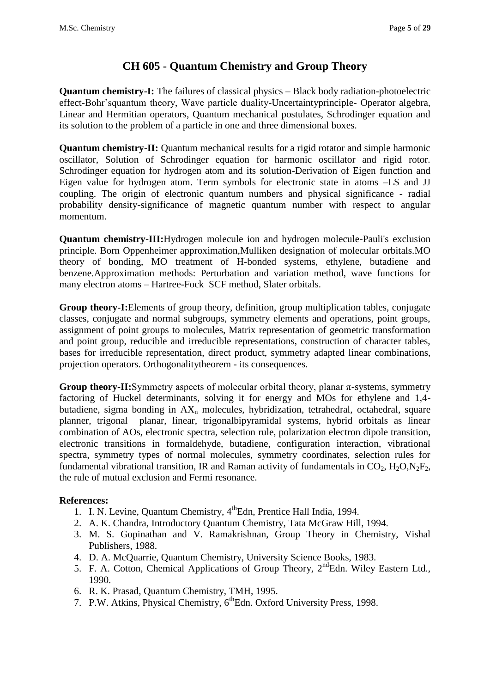## **CH 605 - Quantum Chemistry and Group Theory**

**Quantum chemistry-I:** The failures of classical physics – Black body radiation-photoelectric effect-Bohr'squantum theory, Wave particle duality-Uncertaintyprinciple- Operator algebra, Linear and Hermitian operators, Quantum mechanical postulates, Schrodinger equation and its solution to the problem of a particle in one and three dimensional boxes.

**Quantum chemistry-II:** Quantum mechanical results for a rigid rotator and simple harmonic oscillator, Solution of Schrodinger equation for harmonic oscillator and rigid rotor. Schrodinger equation for hydrogen atom and its solution-Derivation of Eigen function and Eigen value for hydrogen atom. Term symbols for electronic state in atoms –LS and JJ coupling. The origin of electronic quantum numbers and physical significance - radial probability density-significance of magnetic quantum number with respect to angular momentum.

**Quantum chemistry-III:**Hydrogen molecule ion and hydrogen molecule-Pauli's exclusion principle. Born Oppenheimer approximation,Mulliken designation of molecular orbitals.MO theory of bonding, MO treatment of H-bonded systems, ethylene, butadiene and benzene.Approximation methods: Perturbation and variation method, wave functions for many electron atoms – Hartree-Fock SCF method, Slater orbitals.

**Group theory-I:**Elements of group theory, definition, group multiplication tables, conjugate classes, conjugate and normal subgroups, symmetry elements and operations, point groups, assignment of point groups to molecules, Matrix representation of geometric transformation and point group, reducible and irreducible representations, construction of character tables, bases for irreducible representation, direct product, symmetry adapted linear combinations, projection operators. Orthogonalitytheorem - its consequences.

**Group theory-II:**Symmetry aspects of molecular orbital theory, planar  $\pi$ -systems, symmetry factoring of Huckel determinants, solving it for energy and MOs for ethylene and 1,4 butadiene, sigma bonding in  $AX_n$  molecules, hybridization, tetrahedral, octahedral, square planner, trigonal planar, linear, trigonalbipyramidal systems, hybrid orbitals as linear combination of AOs, electronic spectra, selection rule, polarization electron dipole transition, electronic transitions in formaldehyde, butadiene, configuration interaction, vibrational spectra, symmetry types of normal molecules, symmetry coordinates, selection rules for fundamental vibrational transition, IR and Raman activity of fundamentals in  $CO<sub>2</sub>$ , H<sub>2</sub>O,N<sub>2</sub>F<sub>2</sub>, the rule of mutual exclusion and Fermi resonance.

- 1. I. N. Levine, Quantum Chemistry, 4<sup>th</sup>Edn, Prentice Hall India, 1994.
- 2. A. K. Chandra, Introductory Quantum Chemistry, Tata McGraw Hill, 1994.
- 3. M. S. Gopinathan and V. Ramakrishnan, Group Theory in Chemistry, Vishal Publishers, 1988.
- 4. D. A. McQuarrie, Quantum Chemistry, University Science Books, 1983.
- 5. F. A. Cotton, Chemical Applications of Group Theory, 2<sup>nd</sup>Edn. Wiley Eastern Ltd., 1990.
- 6. R. K. Prasad, Quantum Chemistry, TMH, 1995.
- 7. P.W. Atkins, Physical Chemistry, 6<sup>th</sup>Edn. Oxford University Press, 1998.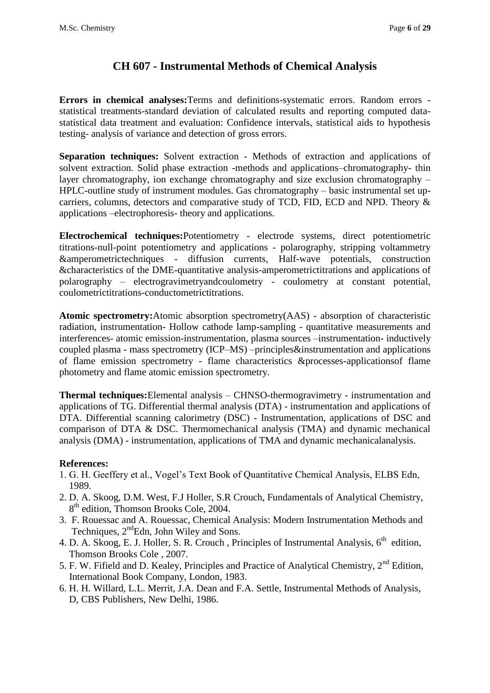## **CH 607 - Instrumental Methods of Chemical Analysis**

**Errors in chemical analyses:**Terms and definitions-systematic errors. Random errors statistical treatments-standard deviation of calculated results and reporting computed datastatistical data treatment and evaluation: Confidence intervals, statistical aids to hypothesis testing- analysis of variance and detection of gross errors.

**Separation techniques:** Solvent extraction - Methods of extraction and applications of solvent extraction. Solid phase extraction -methods and applications–chromatography- thin layer chromatography, ion exchange chromatography and size exclusion chromatography – HPLC-outline study of instrument modules. Gas chromatography – basic instrumental set upcarriers, columns, detectors and comparative study of TCD, FID, ECD and NPD. Theory & applications –electrophoresis- theory and applications.

**Electrochemical techniques:**Potentiometry - electrode systems, direct potentiometric titrations-null-point potentiometry and applications - polarography, stripping voltammetry &amperometrictechniques - diffusion currents, Half-wave potentials, construction &characteristics of the DME-quantitative analysis-amperometrictitrations and applications of polarography – electrogravimetryandcoulometry - coulometry at constant potential, coulometrictitrations-conductometrictitrations.

**Atomic spectrometry:**Atomic absorption spectrometry(AAS) - absorption of characteristic radiation, instrumentation- Hollow cathode lamp-sampling - quantitative measurements and interferences- atomic emission-instrumentation, plasma sources –instrumentation- inductively coupled plasma - mass spectrometry (ICP–MS) –principles&instrumentation and applications of flame emission spectrometry - flame characteristics &processes-applicationsof flame photometry and flame atomic emission spectrometry.

**Thermal techniques:**Elemental analysis – CHNSO-thermogravimetry - instrumentation and applications of TG. Differential thermal analysis (DTA) - instrumentation and applications of DTA. Differential scanning calorimetry (DSC) - Instrumentation, applications of DSC and comparison of DTA & DSC. Thermomechanical analysis (TMA) and dynamic mechanical analysis (DMA) - instrumentation, applications of TMA and dynamic mechanicalanalysis.

- 1. G. H. Geeffery et al., Vogel's Text Book of Quantitative Chemical Analysis, ELBS Edn, 1989.
- 2. D. A. Skoog, D.M. West, F.J Holler, S.R Crouch, Fundamentals of Analytical Chemistry, 8<sup>th</sup> edition, Thomson Brooks Cole, 2004.
- 3. F. Rouessac and A. Rouessac, Chemical Analysis: Modern Instrumentation Methods and Techniques,  $2<sup>nd</sup>Edn$ , John Wiley and Sons.
- 4. D. A. Skoog, E. J. Holler, S. R. Crouch, Principles of Instrumental Analysis,  $6<sup>th</sup>$  edition, Thomson Brooks Cole , 2007.
- 5. F. W. Fifield and D. Kealey, Principles and Practice of Analytical Chemistry, 2<sup>nd</sup> Edition, International Book Company, London, 1983.
- 6. H. H. Willard, L.L. Merrit, J.A. Dean and F.A. Settle, Instrumental Methods of Analysis, D, CBS Publishers, New Delhi, 1986.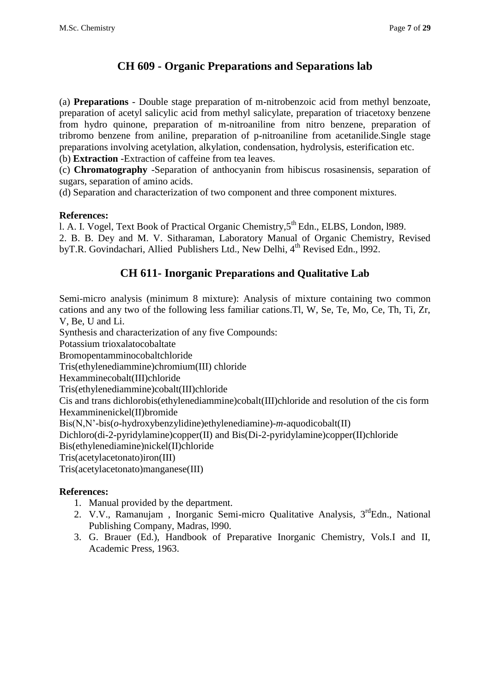## **CH 609 - Organic Preparations and Separations lab**

(a) **Preparations** - Double stage preparation of m-nitrobenzoic acid from methyl benzoate, preparation of acetyl salicylic acid from methyl salicylate, preparation of triacetoxy benzene from hydro quinone, preparation of m-nitroaniline from nitro benzene, preparation of tribromo benzene from aniline, preparation of p-nitroaniline from acetanilide.Single stage preparations involving acetylation, alkylation, condensation, hydrolysis, esterification etc. (b) **Extraction** -Extraction of caffeine from tea leaves.

(c) **Chromatography** -Separation of anthocyanin from hibiscus rosasinensis, separation of sugars, separation of amino acids.

(d) Separation and characterization of two component and three component mixtures.

### **References:**

l. A. I. Vogel, Text Book of Practical Organic Chemistry, 5<sup>th</sup> Edn., ELBS, London, 1989.

2. B. B. Dey and M. V. Sitharaman, Laboratory Manual of Organic Chemistry, Revised byT.R. Govindachari, Allied Publishers Ltd., New Delhi, 4<sup>th</sup> Revised Edn., 1992.

## **CH 611- Inorganic Preparations and Qualitative Lab**

Semi-micro analysis (minimum 8 mixture): Analysis of mixture containing two common cations and any two of the following less familiar cations.Tl, W, Se, Te, Mo, Ce, Th, Ti, Zr, V, Be, U and Li.

Synthesis and characterization of any five Compounds:

Potassium trioxalatocobaltate

Bromopentamminocobaltchloride

Tris(ethylenediammine)chromium(III) chloride

Hexamminecobalt(III)chloride

Tris(ethylenediammine)cobalt(III)chloride

Cis and trans dichlorobis(ethylenediammine)cobalt(III)chloride and resolution of the cis form Hexamminenickel(II)bromide

Bis(N,N'-bis(*o*-hydroxybenzylidine)ethylenediamine)-*m*-aquodicobalt(II)

Dichloro(di-2-pyridylamine)copper(II) and Bis(Di-2-pyridylamine)copper(II)chloride

Bis(ethylenediamine)nickel(II)chloride

Tris(acetylacetonato)iron(III)

Tris(acetylacetonato)manganese(III)

- 1. Manual provided by the department.
- 2. V.V., Ramanujam, Inorganic Semi-micro Qualitative Analysis, 3<sup>rd</sup>Edn., National Publishing Company, Madras, l990.
- 3. G. Brauer (Ed.), Handbook of Preparative Inorganic Chemistry, Vols.I and II, Academic Press, 1963.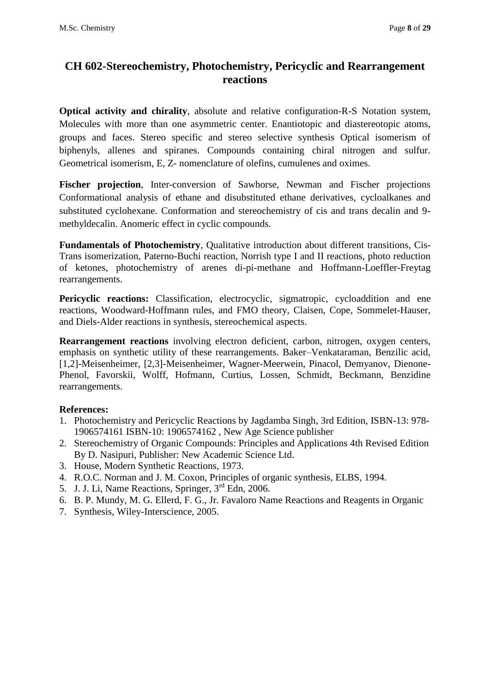## **CH 602-Stereochemistry, Photochemistry, Pericyclic and Rearrangement reactions**

**Optical activity and chirality**, absolute and relative configuration-R-S Notation system, Molecules with more than one asymmetric center. Enantiotopic and diastereotopic atoms, groups and faces. Stereo specific and stereo selective synthesis Optical isomerism of biphenyls, allenes and spiranes. Compounds containing chiral nitrogen and sulfur. Geometrical isomerism, E, Z- nomenclature of olefins, cumulenes and oximes.

**Fischer projection**, Inter-conversion of Sawhorse, Newman and Fischer projections Conformational analysis of ethane and disubstituted ethane derivatives, cycloalkanes and substituted cyclohexane. Conformation and stereochemistry of cis and trans decalin and 9 methyldecalin. Anomeric effect in cyclic compounds.

**Fundamentals of Photochemistry**, Qualitative introduction about different transitions, Cis-Trans isomerization, Paterno-Buchi reaction, Norrish type I and II reactions, photo reduction of ketones, photochemistry of arenes di-pi-methane and Hoffmann-Loeffler-Freytag rearrangements.

Pericyclic reactions: Classification, electrocyclic, sigmatropic, cycloaddition and ene reactions, Woodward-Hoffmann rules, and FMO theory, Claisen, Cope, Sommelet-Hauser, and Diels-Alder reactions in synthesis, stereochemical aspects.

**Rearrangement reactions** involving electron deficient, carbon, nitrogen, oxygen centers, emphasis on synthetic utility of these rearrangements. Baker–Venkataraman, Benzilic acid, [1,2]-Meisenheimer, [2,3]-Meisenheimer, Wagner-Meerwein, Pinacol, Demyanov, Dienone-Phenol, Favorskii, Wolff, Hofmann, Curtius, Lossen, Schmidt, Beckmann, Benzidine rearrangements.

- 1. Photochemistry and Pericyclic Reactions by Jagdamba Singh, 3rd Edition, ISBN-13: 978- 1906574161 ISBN-10: 1906574162 , New Age Science publisher
- 2. Stereochemistry of Organic Compounds: Principles and Applications 4th Revised Edition By D. Nasipuri, Publisher: New Academic Science Ltd.
- 3. House, Modern Synthetic Reactions, 1973.
- 4. R.O.C. Norman and J. M. Coxon, Principles of organic synthesis, ELBS, 1994.
- 5. J. J. Li, Name Reactions, Springer, 3rd Edn, 2006.
- 6. B. P. Mundy, M. G. Ellerd, F. G., Jr. Favaloro Name Reactions and Reagents in Organic
- 7. Synthesis, Wiley-Interscience, 2005.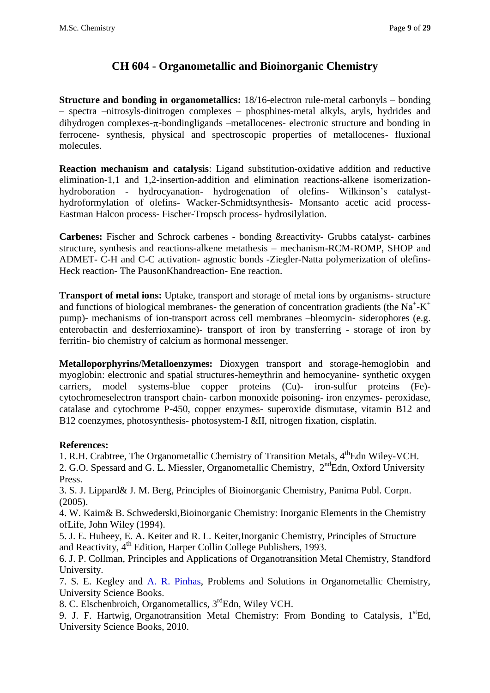## **CH 604 - Organometallic and Bioinorganic Chemistry**

**Structure and bonding in organometallics:** 18/16-electron rule-metal carbonyls – bonding – spectra –nitrosyls-dinitrogen complexes – phosphines-metal alkyls, aryls, hydrides and dihydrogen complexes- $\pi$ -bondingligands –metallocenes- electronic structure and bonding in ferrocene- synthesis, physical and spectroscopic properties of metallocenes- fluxional molecules.

**Reaction mechanism and catalysis**: Ligand substitution-oxidative addition and reductive elimination-1,1 and 1,2-insertion-addition and elimination reactions-alkene isomerizationhydroboration - hydrocyanation- hydrogenation of olefins- Wilkinson's catalysthydroformylation of olefins- Wacker-Schmidtsynthesis- Monsanto acetic acid process-Eastman Halcon process- Fischer-Tropsch process- hydrosilylation.

**Carbenes:** Fischer and Schrock carbenes - bonding &reactivity- Grubbs catalyst- carbines structure, synthesis and reactions-alkene metathesis – mechanism-RCM-ROMP, SHOP and ADMET- C-H and C-C activation- agnostic bonds -Ziegler-Natta polymerization of olefins-Heck reaction- The PausonKhandreaction- Ene reaction.

**Transport of metal ions:** Uptake, transport and storage of metal ions by organisms- structure and functions of biological membranes- the generation of concentration gradients (the Na<sup>+</sup>-K<sup>+</sup> pump)- mechanisms of ion-transport across cell membranes –bleomycin- siderophores (e.g. enterobactin and desferrioxamine)- transport of iron by transferring - storage of iron by ferritin- bio chemistry of calcium as hormonal messenger.

**Metalloporphyrins/Metalloenzymes:** Dioxygen transport and storage-hemoglobin and myoglobin: electronic and spatial structures-hemeythrin and hemocyanine- synthetic oxygen carriers, model systems-blue copper proteins (Cu)- iron-sulfur proteins (Fe) cytochromeselectron transport chain- carbon monoxide poisoning- iron enzymes- peroxidase, catalase and cytochrome P-450, copper enzymes- superoxide dismutase, vitamin B12 and B12 coenzymes, photosynthesis- photosystem-I &II, nitrogen fixation, cisplatin.

#### **References:**

1. R.H. Crabtree, The Organometallic Chemistry of Transition Metals,  $4^{\text{th}}$ Edn Wiley-VCH. 2. G.O. Spessard and G. L. Miessler, [Organometallic Chemistry,](http://www.amazon.co.uk/Organometallic-Chemistry-Gary-O-Spessard/dp/0136401783/ref=sr_1_14?ie=UTF8&s=books&qid=1200547732&sr=1-14) 2<sup>nd</sup>Edn, Oxford University Press.

3. S. J. Lippard& J. M. Berg, Principles of Bioinorganic Chemistry, Panima Publ. Corpn. (2005).

4. W. Kaim& B. Schwederski,Bioinorganic Chemistry: Inorganic Elements in the Chemistry ofLife, John Wiley (1994).

5. J. E. Huheey, E. A. Keiter and R. L. Keiter,Inorganic Chemistry, Principles of Structure and Reactivity, 4<sup>th</sup> Edition, Harper Collin College Publishers, 1993.

6. J. P. Collman, Principles and Applications of Organotransition Metal Chemistry, Standford University.

7. S. E. Kegley and [A. R. Pinhas,](http://www.che.uc.edu/faculty_staff/pinhas_allan.html) Problems and Solutions in Organometallic Chemistry, University Science Books.

8. [C. Elschenbroich,](http://as.wiley.com/WileyCDA/Section/id-302477.html?query=Christoph+Elschenbroich) Organometallics, 3<sup>rd</sup>Edn, Wiley VCH.

9. J. F. Hartwig, Organotransition Metal Chemistry: From Bonding to Catalysis,  $1<sup>st</sup>Ed$ , University Science Books, 2010.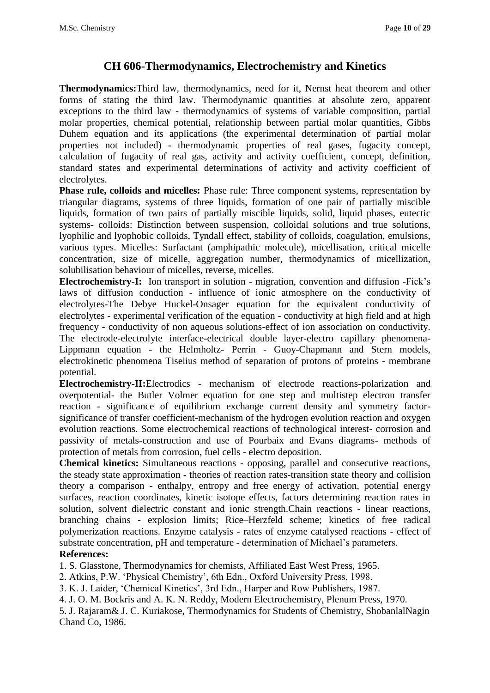### **CH 606-Thermodynamics, Electrochemistry and Kinetics**

**Thermodynamics:**Third law, thermodynamics, need for it, Nernst heat theorem and other forms of stating the third law. Thermodynamic quantities at absolute zero, apparent exceptions to the third law - thermodynamics of systems of variable composition, partial molar properties, chemical potential, relationship between partial molar quantities, Gibbs Duhem equation and its applications (the experimental determination of partial molar properties not included) - thermodynamic properties of real gases, fugacity concept, calculation of fugacity of real gas, activity and activity coefficient, concept, definition, standard states and experimental determinations of activity and activity coefficient of electrolytes.

**Phase rule, colloids and micelles:** Phase rule: Three component systems, representation by triangular diagrams, systems of three liquids, formation of one pair of partially miscible liquids, formation of two pairs of partially miscible liquids, solid, liquid phases, eutectic systems- colloids: Distinction between suspension, colloidal solutions and true solutions, lyophilic and lyophobic colloids, Tyndall effect, stability of colloids, coagulation, emulsions, various types. Micelles: Surfactant (amphipathic molecule), micellisation, critical micelle concentration, size of micelle, aggregation number, thermodynamics of micellization, solubilisation behaviour of micelles, reverse, micelles.

**Electrochemistry-I:** Ion transport in solution - migration, convention and diffusion -Fick's laws of diffusion conduction - influence of ionic atmosphere on the conductivity of electrolytes-The Debye Huckel-Onsager equation for the equivalent conductivity of electrolytes - experimental verification of the equation - conductivity at high field and at high frequency - conductivity of non aqueous solutions-effect of ion association on conductivity. The electrode-electrolyte interface-electrical double layer-electro capillary phenomena-Lippmann equation - the Helmholtz- Perrin - Guoy-Chapmann and Stern models, electrokinetic phenomena Tiseiius method of separation of protons of proteins - membrane potential.

**Electrochemistry-II:**Electrodics - mechanism of electrode reactions-polarization and overpotential- the Butler Volmer equation for one step and multistep electron transfer reaction - significance of equilibrium exchange current density and symmetry factorsignificance of transfer coefficient-mechanism of the hydrogen evolution reaction and oxygen evolution reactions. Some electrochemical reactions of technological interest- corrosion and passivity of metals-construction and use of Pourbaix and Evans diagrams- methods of protection of metals from corrosion, fuel cells - electro deposition.

**Chemical kinetics:** Simultaneous reactions - opposing, parallel and consecutive reactions, the steady state approximation - theories of reaction rates-transition state theory and collision theory a comparison - enthalpy, entropy and free energy of activation, potential energy surfaces, reaction coordinates, kinetic isotope effects, factors determining reaction rates in solution, solvent dielectric constant and ionic strength.Chain reactions - linear reactions, branching chains - explosion limits; Rice–Herzfeld scheme; kinetics of free radical polymerization reactions. Enzyme catalysis - rates of enzyme catalysed reactions - effect of substrate concentration, pH and temperature - determination of Michael's parameters.

#### **References:**

1. S. Glasstone, Thermodynamics for chemists, Affiliated East West Press, 1965.

2. Atkins, P.W. 'Physical Chemistry', 6th Edn., Oxford University Press, 1998.

3. K. J. Laider, 'Chemical Kinetics', 3rd Edn., Harper and Row Publishers, 1987.

4. J. O. M. Bockris and A. K. N. Reddy, Modern Electrochemistry, Plenum Press, 1970.

5. J. Rajaram& J. C. Kuriakose, Thermodynamics for Students of Chemistry, ShobanlalNagin Chand Co, 1986.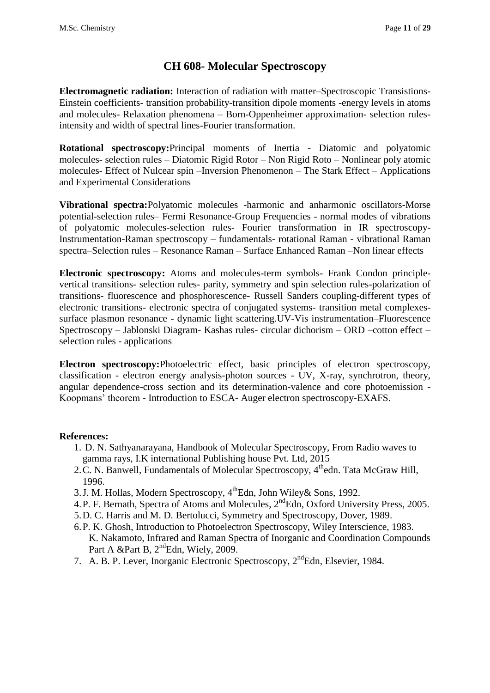### **CH 608- Molecular Spectroscopy**

**Electromagnetic radiation:** Interaction of radiation with matter–Spectroscopic Transistions-Einstein coefficients- transition probability-transition dipole moments -energy levels in atoms and molecules- Relaxation phenomena – Born-Oppenheimer approximation- selection rulesintensity and width of spectral lines-Fourier transformation.

**Rotational spectroscopy:**Principal moments of Inertia - Diatomic and polyatomic molecules- selection rules – Diatomic Rigid Rotor – Non Rigid Roto – Nonlinear poly atomic molecules- Effect of Nulcear spin –Inversion Phenomenon – The Stark Effect – Applications and Experimental Considerations

**Vibrational spectra:**Polyatomic molecules -harmonic and anharmonic oscillators-Morse potential-selection rules– Fermi Resonance-Group Frequencies - normal modes of vibrations of polyatomic molecules-selection rules- Fourier transformation in IR spectroscopy-Instrumentation-Raman spectroscopy – fundamentals- rotational Raman - vibrational Raman spectra–Selection rules – Resonance Raman – Surface Enhanced Raman –Non linear effects

**Electronic spectroscopy:** Atoms and molecules-term symbols- Frank Condon principlevertical transitions- selection rules- parity, symmetry and spin selection rules-polarization of transitions- fluorescence and phosphorescence- Russell Sanders coupling-different types of electronic transitions- electronic spectra of conjugated systems- transition metal complexessurface plasmon resonance - dynamic light scattering.UV-Vis instrumentation–Fluorescence Spectroscopy – Jablonski Diagram- Kashas rules- circular dichorism – ORD –cotton effect – selection rules - applications

**Electron spectroscopy:**Photoelectric effect, basic principles of electron spectroscopy, classification - electron energy analysis-photon sources - UV, X-ray, synchrotron, theory, angular dependence-cross section and its determination-valence and core photoemission - Koopmans' theorem - Introduction to ESCA- Auger electron spectroscopy-EXAFS.

- 1. D. N. Sathyanarayana, Handbook of Molecular Spectroscopy, From Radio waves to gamma rays, I.K international Publishing house Pvt. Ltd, 2015
- 2. C. N. Banwell, Fundamentals of Molecular Spectroscopy, 4<sup>th</sup>edn. Tata McGraw Hill, 1996.
- 3.J. M. Hollas, Modern Spectroscopy, 4<sup>th</sup>Edn, John Wiley& Sons, 1992.
- 4.P. F. Bernath, Spectra of Atoms and Molecules, 2<sup>nd</sup>Edn, Oxford University Press, 2005.
- 5.D. C. Harris and M. D. Bertolucci, Symmetry and Spectroscopy, Dover, 1989.
- 6.P. K. Ghosh, Introduction to Photoelectron Spectroscopy, Wiley Interscience, 1983. K. Nakamoto, Infrared and Raman Spectra of Inorganic and Coordination Compounds Part A &Part B,  $2<sup>nd</sup>$ Edn, Wiely, 2009.
- 7. A. B. P. Lever, Inorganic Electronic Spectroscopy, 2<sup>nd</sup>Edn, Elsevier, 1984.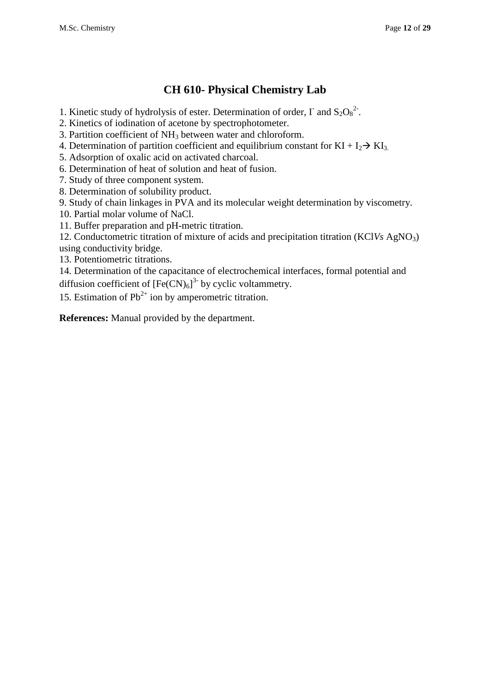## **CH 610- Physical Chemistry Lab**

- 1. Kinetic study of hydrolysis of ester. Determination of order,  $\Gamma$  and  $S_2O_8^2$ .
- 2. Kinetics of iodination of acetone by spectrophotometer.
- 3. Partition coefficient of NH<sup>3</sup> between water and chloroform.
- 4. Determination of partition coefficient and equilibrium constant for  $KI + I_2 \rightarrow K I_3$ .
- 5. Adsorption of oxalic acid on activated charcoal.
- 6. Determination of heat of solution and heat of fusion.
- 7. Study of three component system.
- 8. Determination of solubility product.
- 9. Study of chain linkages in PVA and its molecular weight determination by viscometry.
- 10. Partial molar volume of NaCl.
- 11. Buffer preparation and pH-metric titration.
- 12. Conductometric titration of mixture of acids and precipitation titration (KCl*Vs* AgNO3) using conductivity bridge.
- 13. Potentiometric titrations.
- 14. Determination of the capacitance of electrochemical interfaces, formal potential and diffusion coefficient of  $[Fe(CN)_6]$ <sup>3-</sup> by cyclic voltammetry.
- 15. Estimation of  $Pb^{2+}$  ion by amperometric titration.

**References:** Manual provided by the department.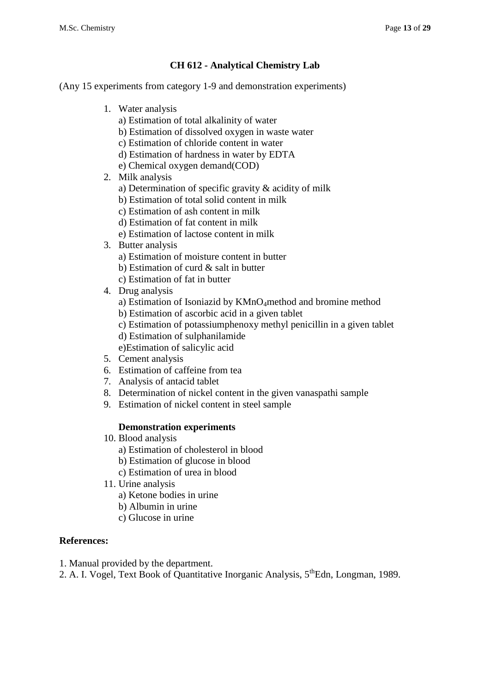#### **CH 612 - Analytical Chemistry Lab**

(Any 15 experiments from category 1-9 and demonstration experiments)

- 1. Water analysis
	- a) Estimation of total alkalinity of water
	- b) Estimation of dissolved oxygen in waste water
	- c) Estimation of chloride content in water
	- d) Estimation of hardness in water by EDTA
	- e) Chemical oxygen demand(COD)
- 2. Milk analysis
	- a) Determination of specific gravity & acidity of milk
	- b) Estimation of total solid content in milk
	- c) Estimation of ash content in milk
	- d) Estimation of fat content in milk
	- e) Estimation of lactose content in milk
- 3. Butter analysis
	- a) Estimation of moisture content in butter
	- b) Estimation of curd & salt in butter
	- c) Estimation of fat in butter
- 4. Drug analysis
	- a) Estimation of Isoniazid by KMnO<sub>4</sub>method and bromine method
	- b) Estimation of ascorbic acid in a given tablet
	- c) Estimation of potassiumphenoxy methyl penicillin in a given tablet
	- d) Estimation of sulphanilamide
	- e)Estimation of salicylic acid
- 5. Cement analysis
- 6. Estimation of caffeine from tea
- 7. Analysis of antacid tablet
- 8. Determination of nickel content in the given vanaspathi sample
- 9. Estimation of nickel content in steel sample

#### **Demonstration experiments**

- 10. Blood analysis
	- a) Estimation of cholesterol in blood
	- b) Estimation of glucose in blood
	- c) Estimation of urea in blood
- 11. Urine analysis
	- a) Ketone bodies in urine
	- b) Albumin in urine
	- c) Glucose in urine

- 1. Manual provided by the department.
- 2. A. I. Vogel, Text Book of Quantitative Inorganic Analysis, 5<sup>th</sup>Edn, Longman, 1989.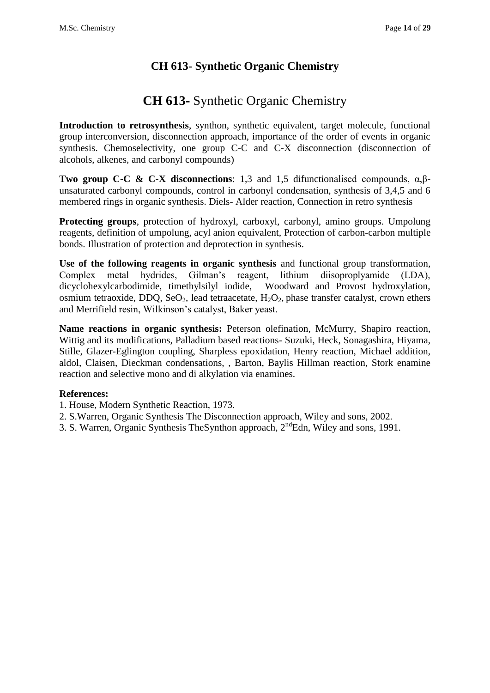## **CH 613- Synthetic Organic Chemistry**

# **CH 613-** Synthetic Organic Chemistry

**Introduction to retrosynthesis**, synthon, synthetic equivalent, target molecule, functional group interconversion, disconnection approach, importance of the order of events in organic synthesis. Chemoselectivity, one group C-C and C-X disconnection (disconnection of alcohols, alkenes, and carbonyl compounds)

**Two group C-C & C-X disconnections:** 1,3 and 1,5 difunctionalised compounds,  $α, β$ unsaturated carbonyl compounds, control in carbonyl condensation, synthesis of 3,4,5 and 6 membered rings in organic synthesis. Diels- Alder reaction, Connection in retro synthesis

**Protecting groups**, protection of hydroxyl, carboxyl, carbonyl, amino groups. Umpolung reagents, definition of umpolung, acyl anion equivalent, Protection of carbon-carbon multiple bonds. Illustration of protection and deprotection in synthesis.

**Use of the following reagents in organic synthesis** and functional group transformation, Complex metal hydrides, Gilman's reagent, lithium diisoproplyamide (LDA), dicyclohexylcarbodimide, timethylsilyl iodide, Woodward and Provost hydroxylation, osmium tetraoxide, DDQ, SeO<sub>2</sub>, lead tetraacetate,  $H_2O_2$ , phase transfer catalyst, crown ethers and Merrifield resin, Wilkinson's catalyst, Baker yeast.

**Name reactions in organic synthesis:** Peterson olefination, McMurry, Shapiro reaction, Wittig and its modifications, Palladium based reactions- Suzuki, Heck, Sonagashira, Hiyama, Stille, Glazer-Eglington coupling, Sharpless epoxidation, Henry reaction, Michael addition, aldol, Claisen, Dieckman condensations, , Barton, Baylis Hillman reaction, Stork enamine reaction and selective mono and di alkylation via enamines.

- 1. House, Modern Synthetic Reaction, 1973.
- 2. S.Warren, Organic Synthesis The Disconnection approach, Wiley and sons, 2002.
- 3. S. Warren, Organic Synthesis TheSynthon approach,  $2<sup>nd</sup>$ Edn, Wiley and sons, 1991.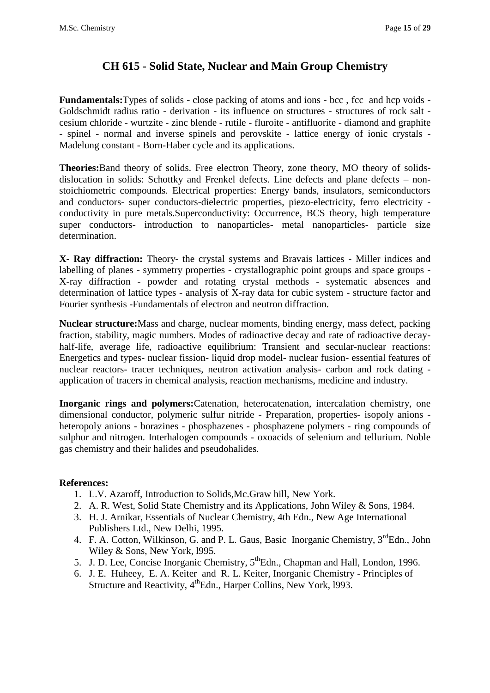## **CH 615 - Solid State, Nuclear and Main Group Chemistry**

Fundamentals: Types of solids - close packing of atoms and ions - bcc, fcc and hcp voids -Goldschmidt radius ratio - derivation - its influence on structures - structures of rock salt cesium chloride - wurtzite - zinc blende - rutile - fluroite - antifluorite - diamond and graphite - spinel - normal and inverse spinels and perovskite - lattice energy of ionic crystals - Madelung constant - Born-Haber cycle and its applications.

**Theories:**Band theory of solids. Free electron Theory, zone theory, MO theory of solidsdislocation in solids: Schottky and Frenkel defects. Line defects and plane defects – nonstoichiometric compounds. Electrical properties: Energy bands, insulators, semiconductors and conductors- super conductors-dielectric properties, piezo-electricity, ferro electricity conductivity in pure metals.Superconductivity: Occurrence, BCS theory, high temperature super conductors- introduction to nanoparticles- metal nanoparticles- particle size determination.

**X- Ray diffraction:** Theory- the crystal systems and Bravais lattices - Miller indices and labelling of planes - symmetry properties - crystallographic point groups and space groups - X-ray diffraction - powder and rotating crystal methods - systematic absences and determination of lattice types - analysis of X-ray data for cubic system - structure factor and Fourier synthesis -Fundamentals of electron and neutron diffraction.

**Nuclear structure:**Mass and charge, nuclear moments, binding energy, mass defect, packing fraction, stability, magic numbers. Modes of radioactive decay and rate of radioactive decayhalf-life, average life, radioactive equilibrium: Transient and secular-nuclear reactions: Energetics and types- nuclear fission- liquid drop model- nuclear fusion- essential features of nuclear reactors- tracer techniques, neutron activation analysis- carbon and rock dating application of tracers in chemical analysis, reaction mechanisms, medicine and industry.

**Inorganic rings and polymers:**Catenation, heterocatenation, intercalation chemistry, one dimensional conductor, polymeric sulfur nitride - Preparation, properties- isopoly anions heteropoly anions - borazines - phosphazenes - phosphazene polymers - ring compounds of sulphur and nitrogen. Interhalogen compounds - oxoacids of selenium and tellurium. Noble gas chemistry and their halides and pseudohalides.

- 1. L.V. Azaroff, Introduction to Solids,Mc.Graw hill, New York.
- 2. A. R. West, Solid State Chemistry and its Applications, John Wiley & Sons, 1984.
- 3. H. J. Arnikar, Essentials of Nuclear Chemistry, 4th Edn., New Age International Publishers Ltd., New Delhi, 1995.
- 4. F. A. Cotton, Wilkinson, G. and P. L. Gaus, Basic Inorganic Chemistry, 3<sup>rd</sup>Edn., John Wiley & Sons, New York, l995.
- 5. J. D. Lee, Concise Inorganic Chemistry, 5thEdn., Chapman and Hall, London, 1996.
- 6. J. E. Huheey, E. A. Keiter and R. L. Keiter, Inorganic Chemistry Principles of Structure and Reactivity, 4<sup>th</sup>Edn., Harper Collins, New York, 1993.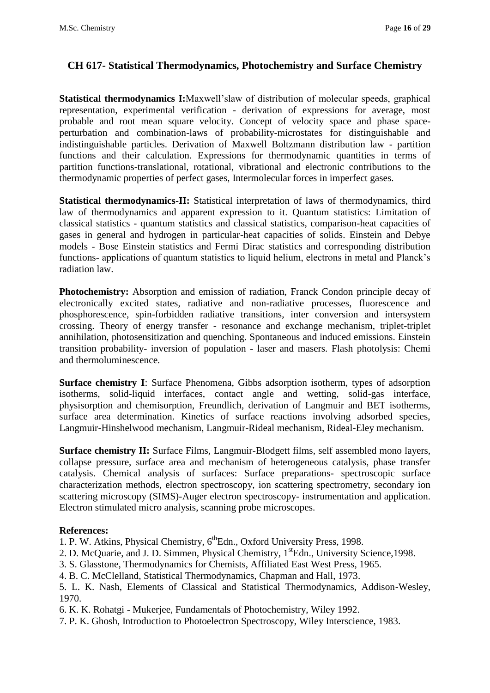### **CH 617- Statistical Thermodynamics, Photochemistry and Surface Chemistry**

**Statistical thermodynamics I:**Maxwell'slaw of distribution of molecular speeds, graphical representation, experimental verification - derivation of expressions for average, most probable and root mean square velocity. Concept of velocity space and phase spaceperturbation and combination-laws of probability-microstates for distinguishable and indistinguishable particles. Derivation of Maxwell Boltzmann distribution law - partition functions and their calculation. Expressions for thermodynamic quantities in terms of partition functions-translational, rotational, vibrational and electronic contributions to the thermodynamic properties of perfect gases, Intermolecular forces in imperfect gases.

**Statistical thermodynamics-II:** Statistical interpretation of laws of thermodynamics, third law of thermodynamics and apparent expression to it. Quantum statistics: Limitation of classical statistics - quantum statistics and classical statistics, comparison-heat capacities of gases in general and hydrogen in particular-heat capacities of solids. Einstein and Debye models - Bose Einstein statistics and Fermi Dirac statistics and corresponding distribution functions- applications of quantum statistics to liquid helium, electrons in metal and Planck's radiation law.

**Photochemistry:** Absorption and emission of radiation, Franck Condon principle decay of electronically excited states, radiative and non-radiative processes, fluorescence and phosphorescence, spin-forbidden radiative transitions, inter conversion and intersystem crossing. Theory of energy transfer - resonance and exchange mechanism, triplet-triplet annihilation, photosensitization and quenching. Spontaneous and induced emissions. Einstein transition probability- inversion of population - laser and masers. Flash photolysis: Chemi and thermoluminescence.

**Surface chemistry I**: Surface Phenomena, Gibbs adsorption isotherm, types of adsorption isotherms, solid-liquid interfaces, contact angle and wetting, solid-gas interface, physisorption and chemisorption, Freundlich, derivation of Langmuir and BET isotherms, surface area determination. Kinetics of surface reactions involving adsorbed species, Langmuir-Hinshelwood mechanism, Langmuir-Rideal mechanism, Rideal-Eley mechanism.

**Surface chemistry II:** Surface Films, Langmuir-Blodgett films, self assembled mono layers, collapse pressure, surface area and mechanism of heterogeneous catalysis, phase transfer catalysis. Chemical analysis of surfaces: Surface preparations- spectroscopic surface characterization methods, electron spectroscopy, ion scattering spectrometry, secondary ion scattering microscopy (SIMS)-Auger electron spectroscopy- instrumentation and application. Electron stimulated micro analysis, scanning probe microscopes.

#### **References:**

1. P. W. Atkins, Physical Chemistry, 6<sup>th</sup>Edn., Oxford University Press, 1998.

- 2. D. McQuarie, and J. D. Simmen, Physical Chemistry, 1<sup>st</sup>Edn., University Science, 1998.
- 3. S. Glasstone, Thermodynamics for Chemists, Affiliated East West Press, 1965.
- 4. B. C. McClelland, Statistical Thermodynamics, Chapman and Hall, 1973.
- 5. L. K. Nash, Elements of Classical and Statistical Thermodynamics, Addison-Wesley, 1970.
- 6. K. K. Rohatgi Mukerjee, Fundamentals of Photochemistry, Wiley 1992.
- 7. P. K. Ghosh, Introduction to Photoelectron Spectroscopy, Wiley Interscience, 1983.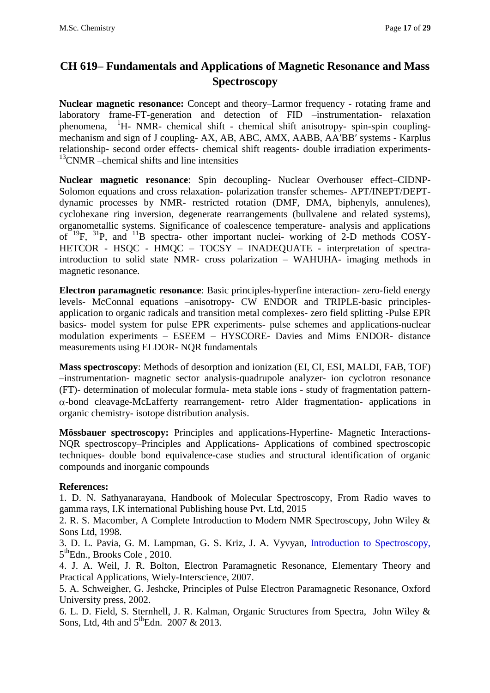# **CH 619– Fundamentals and Applications of Magnetic Resonance and Mass Spectroscopy**

**Nuclear magnetic resonance:** Concept and theory–Larmor frequency - rotating frame and laboratory frame-FT-generation and detection of FID –instrumentation- relaxation phenomena,  ${}^{1}H$ - NMR- chemical shift - chemical shift anisotropy- spin-spin couplingmechanism and sign of J coupling- AX, AB, ABC, AMX, AABB, AA′BB′ systems - Karplus relationship- second order effects- chemical shift reagents- double irradiation experiments- $13$ CNMR –chemical shifts and line intensities

**Nuclear magnetic resonance**: Spin decoupling- Nuclear Overhouser effect–CIDNP-Solomon equations and cross relaxation- polarization transfer schemes- APT/INEPT/DEPTdynamic processes by NMR- restricted rotation (DMF, DMA, biphenyls, annulenes), cyclohexane ring inversion, degenerate rearrangements (bullvalene and related systems), organometallic systems. Significance of coalescence temperature- analysis and applications of  $^{19}F$ ,  $^{31}P$ , and  $^{11}B$  spectra- other important nuclei- working of 2-D methods COSY-HETCOR - HSOC - HMOC – TOCSY – INADEQUATE - interpretation of spectraintroduction to solid state NMR- cross polarization – WAHUHA- imaging methods in magnetic resonance.

**Electron paramagnetic resonance**: Basic principles-hyperfine interaction- zero-field energy levels- McConnal equations –anisotropy- CW ENDOR and TRIPLE-basic principlesapplication to organic radicals and transition metal complexes- zero field splitting -Pulse EPR basics- model system for pulse EPR experiments- pulse schemes and applications-nuclear modulation experiments – ESEEM – HYSCORE- Davies and Mims ENDOR- distance measurements using ELDOR- NQR fundamentals

**Mass spectroscopy**: Methods of desorption and ionization (EI, CI, ESI, MALDI, FAB, TOF) –instrumentation- magnetic sector analysis-quadrupole analyzer- ion cyclotron resonance (FT)- determination of molecular formula- meta stable ions - study of fragmentation pattern-  $\alpha$ -bond cleavage-McLafferty rearrangement- retro Alder fragmentation- applications in organic chemistry- isotope distribution analysis.

**Mössbauer spectroscopy:** Principles and applications-Hyperfine- Magnetic Interactions-NQR spectroscopy–Principles and Applications- Applications of combined spectroscopic techniques- double bond equivalence-case studies and structural identification of organic compounds and inorganic compounds

#### **References:**

1. D. N. Sathyanarayana, Handbook of Molecular Spectroscopy, From Radio waves to gamma rays, I.K international Publishing house Pvt. Ltd, 2015

2. R. S. Macomber, A Complete Introduction to Modern NMR Spectroscopy, John Wiley & Sons Ltd, 1998.

3. D. L. Pavia, G. M. Lampman, G. S. Kriz, J. A. Vyvyan, [Introduction to Spectroscopy,](http://gigapedia.com/items:view?eid=KjYk8Ko1v2R5cK40%2B%2Br38SMdY3nHKRF%2B%2FuUwkvGOYnk%3D)  5<sup>th</sup>Edn., Brooks Cole, 2010.

4. J. A. Weil, J. R. Bolton, Electron Paramagnetic Resonance, Elementary Theory and Practical Applications, Wiely-Interscience, 2007.

5. A. Schweigher, G. Jeshcke, Principles of Pulse Electron Paramagnetic Resonance, Oxford University press, 2002.

6. L. D. Field, S. Sternhell, J. R. Kalman, Organic Structures from Spectra, John Wiley & Sons, Ltd, 4th and  $5^{\text{th}}$ Edn. 2007 & 2013.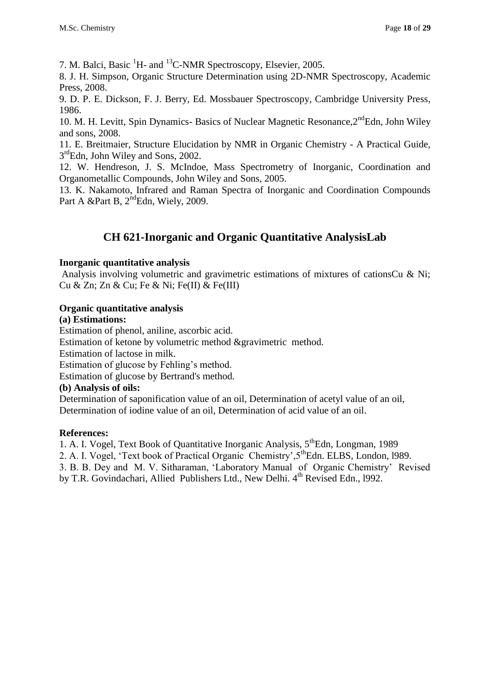7. M. Balci, Basic <sup>1</sup>H- and <sup>13</sup>C-NMR Spectroscopy, Elsevier, 2005.

8. J. H. Simpson, Organic Structure Determination using 2D-NMR Spectroscopy, Academic Press, 2008.

9. D. P. E. Dickson, F. J. Berry, Ed. Mossbauer Spectroscopy, Cambridge University Press, 1986.

10. M. H. Levitt, Spin Dynamics- Basics of Nuclear Magnetic Resonance, 2<sup>nd</sup>Edn, John Wiley and sons, 2008.

11. E. Breitmaier, Structure Elucidation by NMR in Organic Chemistry - A Practical Guide, 3<sup>rd</sup>Edn, John Wiley and Sons, 2002.

12. W. Hendreson, J. S. McIndoe, Mass Spectrometry of Inorganic, Coordination and Organometallic Compounds, John Wiley and Sons, 2005.

13. K. Nakamoto, Infrared and Raman Spectra of Inorganic and Coordination Compounds Part A &Part B,  $2<sup>nd</sup>$ Edn, Wiely, 2009.

## **CH 621-Inorganic and Organic Quantitative AnalysisLab**

#### **Inorganic quantitative analysis**

Analysis involving volumetric and gravimetric estimations of mixtures of cationsCu & Ni; Cu & Zn; Zn & Cu; Fe & Ni; Fe(II) & Fe(III)

#### **Organic quantitative analysis**

#### **(a) Estimations:**

Estimation of phenol, aniline, ascorbic acid.

Estimation of ketone by volumetric method &gravimetric method.

Estimation of lactose in milk.

Estimation of glucose by Fehling's method.

Estimation of glucose by Bertrand's method.

#### **(b) Analysis of oils:**

Determination of saponification value of an oil, Determination of acetyl value of an oil, Determination of iodine value of an oil, Determination of acid value of an oil.

#### **References:**

1. A. I. Vogel, Text Book of Quantitative Inorganic Analysis, 5<sup>th</sup>Edn, Longman, 1989

2. A. I. Vogel, 'Text book of Practical Organic Chemistry', 5<sup>th</sup>Edn. ELBS, London, 1989.

3. B. B. Dey and M. V. Sitharaman, 'Laboratory Manual of Organic Chemistry' Revised by T.R. Govindachari, Allied Publishers Ltd., New Delhi. 4<sup>th</sup> Revised Edn., 1992.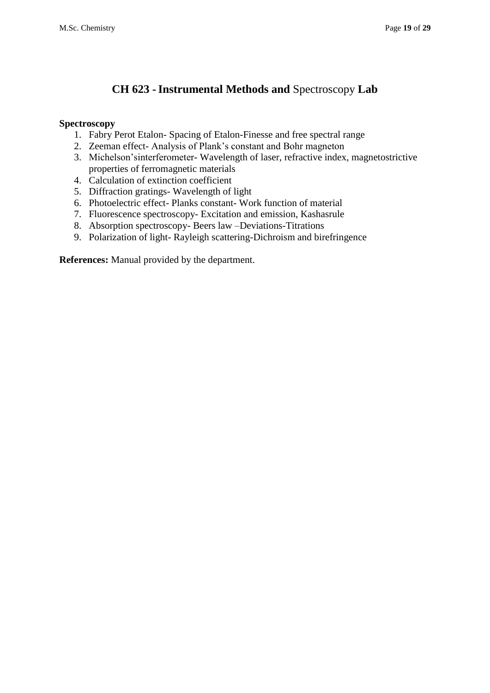## **CH 623 -Instrumental Methods and** Spectroscopy **Lab**

#### **Spectroscopy**

- 1. Fabry Perot Etalon- Spacing of Etalon-Finesse and free spectral range
- 2. Zeeman effect- Analysis of Plank's constant and Bohr magneton
- 3. Michelson'sinterferometer- Wavelength of laser, refractive index, magnetostrictive properties of ferromagnetic materials
- 4. Calculation of extinction coefficient
- 5. Diffraction gratings- Wavelength of light
- 6. Photoelectric effect- Planks constant- Work function of material
- 7. Fluorescence spectroscopy- Excitation and emission, Kashasrule
- 8. Absorption spectroscopy- Beers law –Deviations-Titrations
- 9. Polarization of light- Rayleigh scattering-Dichroism and birefringence

**References:** Manual provided by the department.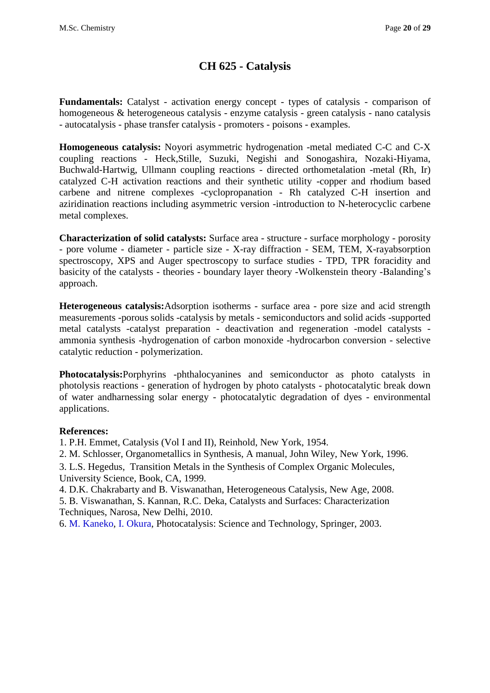## **CH 625 - Catalysis**

**Fundamentals:** Catalyst - activation energy concept - types of catalysis - comparison of homogeneous & heterogeneous catalysis - enzyme catalysis - green catalysis - nano catalysis - autocatalysis - phase transfer catalysis - promoters - poisons - examples.

**Homogeneous catalysis:** Noyori asymmetric hydrogenation -metal mediated C-C and C-X coupling reactions - Heck,Stille, Suzuki, Negishi and Sonogashira, Nozaki-Hiyama, Buchwald-Hartwig, Ullmann coupling reactions - directed orthometalation -metal (Rh, Ir) catalyzed C-H activation reactions and their synthetic utility -copper and rhodium based carbene and nitrene complexes -cyclopropanation - Rh catalyzed C-H insertion and aziridination reactions including asymmetric version -introduction to N-heterocyclic carbene metal complexes.

**Characterization of solid catalysts:** Surface area - structure - surface morphology - porosity - pore volume - diameter - particle size - X-ray diffraction - SEM, TEM, X-rayabsorption spectroscopy, XPS and Auger spectroscopy to surface studies - TPD, TPR foracidity and basicity of the catalysts - theories - boundary layer theory -Wolkenstein theory -Balanding's approach.

**Heterogeneous catalysis:**Adsorption isotherms - surface area - pore size and acid strength measurements -porous solids -catalysis by metals - semiconductors and solid acids -supported metal catalysts -catalyst preparation - deactivation and regeneration -model catalysts ammonia synthesis -hydrogenation of carbon monoxide -hydrocarbon conversion - selective catalytic reduction - polymerization.

**Photocatalysis:**Porphyrins -phthalocyanines and semiconductor as photo catalysts in photolysis reactions - generation of hydrogen by photo catalysts - photocatalytic break down of water andharnessing solar energy - photocatalytic degradation of dyes - environmental applications.

#### **References:**

1. P.H. Emmet, Catalysis (Vol I and II), Reinhold, New York, 1954.

2. M. Schlosser, Organometallics in Synthesis, A manual, John Wiley, New York, 1996.

3. L.S. Hegedus, Transition Metals in the Synthesis of Complex Organic Molecules, University Science, Book, CA, 1999.

4. D.K. Chakrabarty and B. Viswanathan, Heterogeneous Catalysis, New Age, 2008.

5. B. Viswanathan, S. Kannan, R.C. Deka, Catalysts and Surfaces: Characterization Techniques, Narosa, New Delhi, 2010.

6. [M. Kaneko,](http://www.amazon.com/s/ref=ntt_athr_dp_sr_1?_encoding=UTF8&field-author=Masao%20Kaneko&search-alias=books&sort=relevancerank) [I. Okura,](http://www.amazon.com/s/ref=ntt_athr_dp_sr_2?_encoding=UTF8&field-author=Ichiro%20Okura&search-alias=books&sort=relevancerank) Photocatalysis: Science and Technology, Springer, 2003.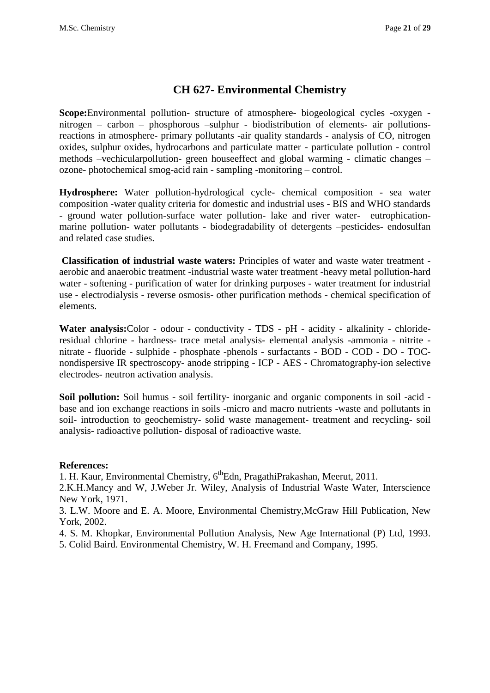### **CH 627- Environmental Chemistry**

**Scope:**Environmental pollution- structure of atmosphere- biogeological cycles -oxygen nitrogen – carbon – phosphorous –sulphur - biodistribution of elements- air pollutionsreactions in atmosphere- primary pollutants -air quality standards - analysis of CO, nitrogen oxides, sulphur oxides, hydrocarbons and particulate matter - particulate pollution - control methods –vechicularpollution- green houseeffect and global warming - climatic changes – ozone- photochemical smog-acid rain - sampling -monitoring – control.

**Hydrosphere:** Water pollution-hydrological cycle- chemical composition - sea water composition -water quality criteria for domestic and industrial uses - BIS and WHO standards - ground water pollution-surface water pollution- lake and river water- eutrophicationmarine pollution- water pollutants - biodegradability of detergents –pesticides- endosulfan and related case studies.

**Classification of industrial waste waters:** Principles of water and waste water treatment aerobic and anaerobic treatment -industrial waste water treatment -heavy metal pollution-hard water - softening - purification of water for drinking purposes - water treatment for industrial use - electrodialysis - reverse osmosis- other purification methods - chemical specification of elements.

Water analysis: Color - odour - conductivity - TDS - pH - acidity - alkalinity - chlorideresidual chlorine - hardness- trace metal analysis- elemental analysis -ammonia - nitrite nitrate - fluoride - sulphide - phosphate -phenols - surfactants - BOD - COD - DO - TOCnondispersive IR spectroscopy- anode stripping - ICP - AES - Chromatography-ion selective electrodes- neutron activation analysis.

**Soil pollution:** Soil humus - soil fertility- inorganic and organic components in soil -acid base and ion exchange reactions in soils -micro and macro nutrients -waste and pollutants in soil- introduction to geochemistry- solid waste management- treatment and recycling- soil analysis- radioactive pollution- disposal of radioactive waste.

#### **References:**

1. H. Kaur, Environmental Chemistry, 6<sup>th</sup>Edn, PragathiPrakashan, Meerut, 2011.

2.K.H.Mancy and W, J.Weber Jr. Wiley, Analysis of Industrial Waste Water, Interscience New York, 1971.

3. L.W. Moore and E. A. Moore, Environmental Chemistry,McGraw Hill Publication, New York, 2002.

- 4. S. M. Khopkar, Environmental Pollution Analysis, New Age International (P) Ltd, 1993.
- 5. Colid Baird. Environmental Chemistry, W. H. Freemand and Company, 1995.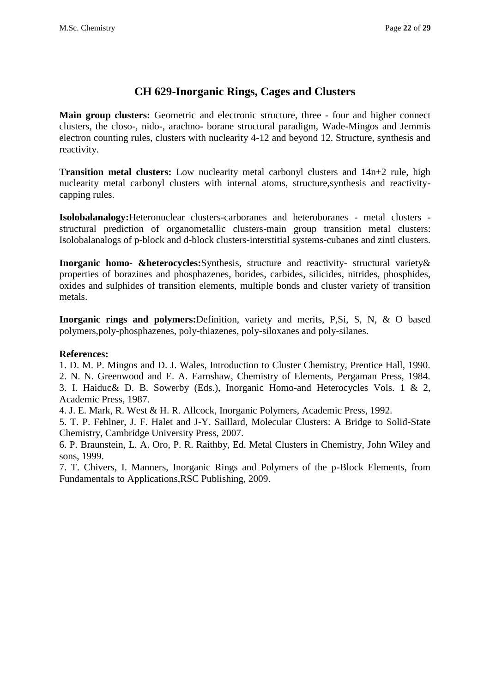## **CH 629-Inorganic Rings, Cages and Clusters**

**Main group clusters:** Geometric and electronic structure, three - four and higher connect clusters, the closo-, nido-, arachno- borane structural paradigm, Wade-Mingos and Jemmis electron counting rules, clusters with nuclearity 4-12 and beyond 12. Structure, synthesis and reactivity.

**Transition metal clusters:** Low nuclearity metal carbonyl clusters and 14n+2 rule, high nuclearity metal carbonyl clusters with internal atoms, structure,synthesis and reactivitycapping rules.

**Isolobalanalogy:**Heteronuclear clusters-carboranes and heteroboranes - metal clusters structural prediction of organometallic clusters-main group transition metal clusters: Isolobalanalogs of p-block and d-block clusters-interstitial systems-cubanes and zintl clusters.

**Inorganic homo- &heterocycles:**Synthesis, structure and reactivity- structural variety& properties of borazines and phosphazenes, borides, carbides, silicides, nitrides, phosphides, oxides and sulphides of transition elements, multiple bonds and cluster variety of transition metals.

**Inorganic rings and polymers:**Definition, variety and merits, P,Si, S, N, & O based polymers,poly-phosphazenes, poly-thiazenes, poly-siloxanes and poly-silanes.

#### **References:**

1. D. M. P. Mingos and D. J. Wales, Introduction to Cluster Chemistry, Prentice Hall, 1990.

2. N. N. Greenwood and E. A. Earnshaw, Chemistry of Elements, Pergaman Press, 1984. 3. I. Haiduc& D. B. Sowerby (Eds.), Inorganic Homo-and Heterocycles Vols. 1 & 2,

Academic Press, 1987.

4. J. E. Mark, R. West & H. R. Allcock, Inorganic Polymers, Academic Press, 1992.

5. T. P. Fehlner, J. F. Halet and J-Y. Saillard, Molecular Clusters: A Bridge to Solid-State Chemistry, Cambridge University Press, 2007.

6. P. Braunstein, L. A. Oro, P. R. Raithby, Ed. Metal Clusters in Chemistry, John Wiley and sons, 1999.

7. T. Chivers, I. Manners, Inorganic Rings and Polymers of the p-Block Elements, from Fundamentals to Applications,RSC Publishing, 2009.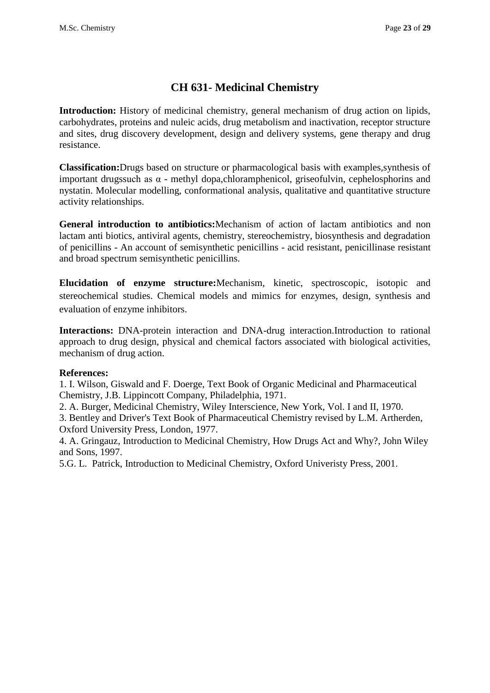## **CH 631- Medicinal Chemistry**

**Introduction:** History of medicinal chemistry, general mechanism of drug action on lipids, carbohydrates, proteins and nuleic acids, drug metabolism and inactivation, receptor structure and sites, drug discovery development, design and delivery systems, gene therapy and drug resistance.

**Classification:**Drugs based on structure or pharmacological basis with examples,synthesis of important drugssuch as  $\alpha$  - methyl dopa, chloramphenicol, griseofulvin, cephelosphorins and nystatin. Molecular modelling, conformational analysis, qualitative and quantitative structure activity relationships.

**General introduction to antibiotics:**Mechanism of action of lactam antibiotics and non lactam anti biotics, antiviral agents, chemistry, stereochemistry, biosynthesis and degradation of penicillins - An account of semisynthetic penicillins - acid resistant, penicillinase resistant and broad spectrum semisynthetic penicillins.

**Elucidation of enzyme structure:**Mechanism, kinetic, spectroscopic, isotopic and stereochemical studies. Chemical models and mimics for enzymes, design, synthesis and evaluation of enzyme inhibitors.

**Interactions:** DNA-protein interaction and DNA-drug interaction.Introduction to rational approach to drug design, physical and chemical factors associated with biological activities, mechanism of drug action.

#### **References:**

1. I. Wilson, Giswald and F. Doerge, Text Book of Organic Medicinal and Pharmaceutical Chemistry, J.B. Lippincott Company, Philadelphia, 1971.

2. A. Burger, Medicinal Chemistry, Wiley Interscience, New York, Vol. I and II, 1970.

3. Bentley and Driver's Text Book of Pharmaceutical Chemistry revised by L.M. Artherden, Oxford University Press, London, 1977.

4. A. Gringauz, Introduction to Medicinal Chemistry, How Drugs Act and Why?, John Wiley and Sons, 1997.

5.G. L. Patrick, Introduction to Medicinal Chemistry, Oxford Univeristy Press, 2001.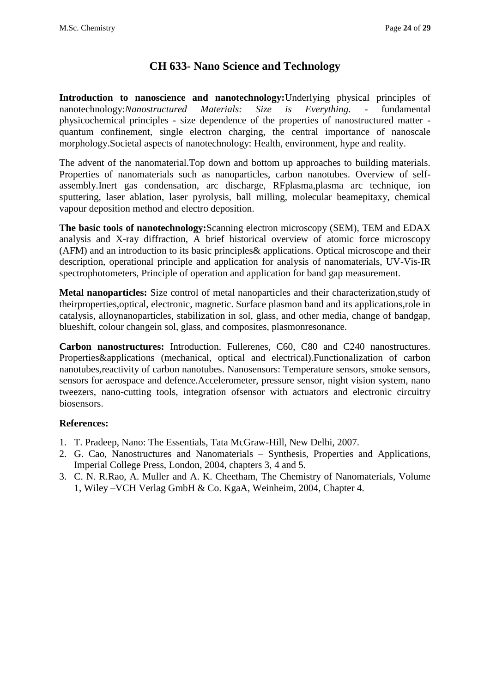### **CH 633- Nano Science and Technology**

**Introduction to nanoscience and nanotechnology:**Underlying physical principles of nanotechnology:*Nanostructured Materials: Size is Everything. -* fundamental physicochemical principles - size dependence of the properties of nanostructured matter quantum confinement, single electron charging, the central importance of nanoscale morphology.Societal aspects of nanotechnology: Health, environment, hype and reality.

The advent of the nanomaterial.Top down and bottom up approaches to building materials. Properties of nanomaterials such as nanoparticles, carbon nanotubes. Overview of selfassembly.Inert gas condensation, arc discharge, RFplasma,plasma arc technique, ion sputtering, laser ablation, laser pyrolysis, ball milling, molecular beamepitaxy, chemical vapour deposition method and electro deposition.

**The basic tools of nanotechnology:**Scanning electron microscopy (SEM), TEM and EDAX analysis and X-ray diffraction, A brief historical overview of atomic force microscopy (AFM) and an introduction to its basic principles& applications. Optical microscope and their description, operational principle and application for analysis of nanomaterials, UV-Vis-IR spectrophotometers, Principle of operation and application for band gap measurement.

**Metal nanoparticles:** Size control of metal nanoparticles and their characterization,study of theirproperties,optical, electronic, magnetic. Surface plasmon band and its applications,role in catalysis, alloynanoparticles, stabilization in sol, glass, and other media, change of bandgap, blueshift, colour changein sol, glass, and composites, plasmonresonance.

**Carbon nanostructures:** Introduction. Fullerenes, C60, C80 and C240 nanostructures. Properties&applications (mechanical, optical and electrical).Functionalization of carbon nanotubes,reactivity of carbon nanotubes. Nanosensors: Temperature sensors, smoke sensors, sensors for aerospace and defence.Accelerometer, pressure sensor, night vision system, nano tweezers, nano-cutting tools, integration ofsensor with actuators and electronic circuitry biosensors.

- 1. T. Pradeep, Nano: The Essentials, Tata McGraw-Hill, New Delhi, 2007.
- 2. G. Cao, Nanostructures and Nanomaterials Synthesis, Properties and Applications, Imperial College Press, London, 2004, chapters 3, 4 and 5.
- 3. C. N. R.Rao, A. Muller and A. K. Cheetham, The Chemistry of Nanomaterials, Volume 1, Wiley –VCH Verlag GmbH & Co. KgaA, Weinheim, 2004, Chapter 4.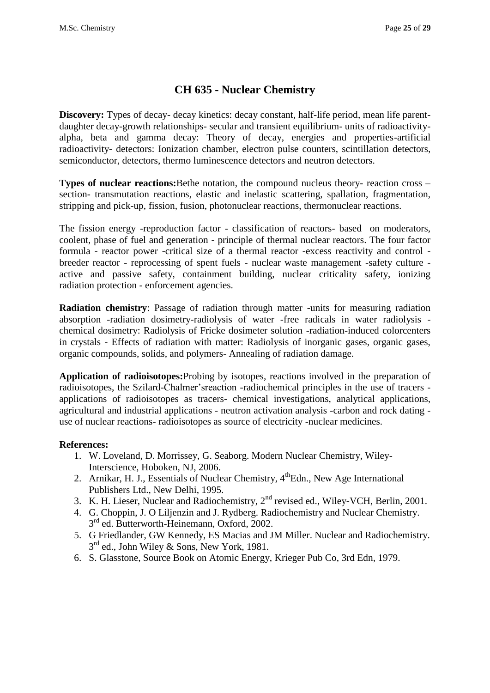## **CH 635 - Nuclear Chemistry**

**Discovery:** Types of decay- decay kinetics: decay constant, half-life period, mean life parentdaughter decay-growth relationships- secular and transient equilibrium- units of radioactivityalpha, beta and gamma decay: Theory of decay, energies and properties-artificial radioactivity- detectors: Ionization chamber, electron pulse counters, scintillation detectors, semiconductor, detectors, thermo luminescence detectors and neutron detectors.

**Types of nuclear reactions:**Bethe notation, the compound nucleus theory- reaction cross – section- transmutation reactions, elastic and inelastic scattering, spallation, fragmentation, stripping and pick-up, fission, fusion, photonuclear reactions, thermonuclear reactions.

The fission energy -reproduction factor - classification of reactors- based on moderators, coolent, phase of fuel and generation - principle of thermal nuclear reactors. The four factor formula - reactor power -critical size of a thermal reactor -excess reactivity and control breeder reactor - reprocessing of spent fuels - nuclear waste management -safety culture active and passive safety, containment building, nuclear criticality safety, ionizing radiation protection - enforcement agencies.

**Radiation chemistry**: Passage of radiation through matter -units for measuring radiation absorption -radiation dosimetry-radiolysis of water -free radicals in water radiolysis chemical dosimetry: Radiolysis of Fricke dosimeter solution -radiation-induced colorcenters in crystals - Effects of radiation with matter: Radiolysis of inorganic gases, organic gases, organic compounds, solids, and polymers- Annealing of radiation damage.

**Application of radioisotopes:**Probing by isotopes, reactions involved in the preparation of radioisotopes, the Szilard-Chalmer'sreaction -radiochemical principles in the use of tracers applications of radioisotopes as tracers- chemical investigations, analytical applications, agricultural and industrial applications - neutron activation analysis -carbon and rock dating use of nuclear reactions- radioisotopes as source of electricity -nuclear medicines.

- 1. W. Loveland, D. Morrissey, G. Seaborg. Modern Nuclear Chemistry, Wiley-Interscience, Hoboken, NJ, 2006.
- 2. Arnikar, H. J., Essentials of Nuclear Chemistry, 4<sup>th</sup>Edn., New Age International Publishers Ltd., New Delhi, 1995.
- 3. K. H. Lieser, Nuclear and Radiochemistry,  $2<sup>nd</sup>$  revised ed., Wiley-VCH, Berlin, 2001.
- 4. G. Choppin, J. O Liljenzin and J. Rydberg. Radiochemistry and Nuclear Chemistry. 3<sup>rd</sup> ed. Butterworth-Heinemann, Oxford, 2002.
- 5. G Friedlander, GW Kennedy, ES Macias and JM Miller. Nuclear and Radiochemistry. 3<sup>rd</sup> ed., John Wiley & Sons, New York, 1981.
- 6. S. Glasstone, Source Book on Atomic Energy, Krieger Pub Co, 3rd Edn, 1979.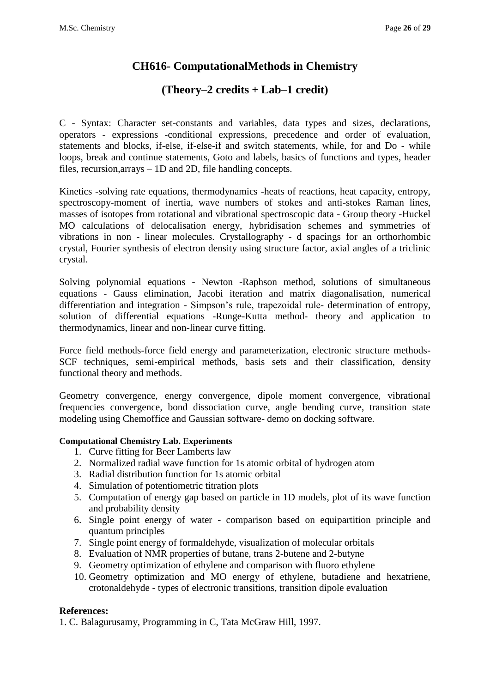### **CH616- ComputationalMethods in Chemistry**

### **(Theory–2 credits + Lab–1 credit)**

C - Syntax: Character set-constants and variables, data types and sizes, declarations, operators - expressions -conditional expressions, precedence and order of evaluation, statements and blocks, if-else, if-else-if and switch statements, while, for and Do - while loops, break and continue statements, Goto and labels, basics of functions and types, header files, recursion,arrays – 1D and 2D, file handling concepts.

Kinetics -solving rate equations, thermodynamics -heats of reactions, heat capacity, entropy, spectroscopy-moment of inertia, wave numbers of stokes and anti-stokes Raman lines, masses of isotopes from rotational and vibrational spectroscopic data - Group theory -Huckel MO calculations of delocalisation energy, hybridisation schemes and symmetries of vibrations in non - linear molecules. Crystallography - d spacings for an orthorhombic crystal, Fourier synthesis of electron density using structure factor, axial angles of a triclinic crystal.

Solving polynomial equations - Newton -Raphson method, solutions of simultaneous equations - Gauss elimination, Jacobi iteration and matrix diagonalisation, numerical differentiation and integration - Simpson's rule, trapezoidal rule- determination of entropy, solution of differential equations -Runge-Kutta method- theory and application to thermodynamics, linear and non-linear curve fitting.

Force field methods-force field energy and parameterization, electronic structure methods-SCF techniques, semi-empirical methods, basis sets and their classification, density functional theory and methods.

Geometry convergence, energy convergence, dipole moment convergence, vibrational frequencies convergence, bond dissociation curve, angle bending curve, transition state modeling using Chemoffice and Gaussian software- demo on docking software.

#### **Computational Chemistry Lab. Experiments**

- 1. Curve fitting for Beer Lamberts law
- 2. Normalized radial wave function for 1s atomic orbital of hydrogen atom
- 3. Radial distribution function for 1s atomic orbital
- 4. Simulation of potentiometric titration plots
- 5. Computation of energy gap based on particle in 1D models, plot of its wave function and probability density
- 6. Single point energy of water comparison based on equipartition principle and quantum principles
- 7. Single point energy of formaldehyde, visualization of molecular orbitals
- 8. Evaluation of NMR properties of butane, trans 2-butene and 2-butyne
- 9. Geometry optimization of ethylene and comparison with fluoro ethylene
- 10. Geometry optimization and MO energy of ethylene, butadiene and hexatriene, crotonaldehyde - types of electronic transitions, transition dipole evaluation

#### **References:**

1. C. Balagurusamy, Programming in C, Tata McGraw Hill, 1997.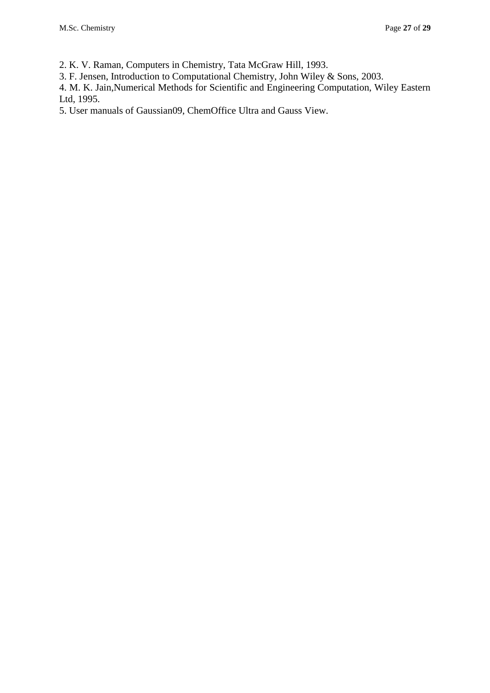2. K. V. Raman, Computers in Chemistry, Tata McGraw Hill, 1993.

3. F. Jensen, Introduction to Computational Chemistry, John Wiley & Sons, 2003.

4. M. K. Jain,Numerical Methods for Scientific and Engineering Computation, Wiley Eastern Ltd, 1995.

5. User manuals of Gaussian09, ChemOffice Ultra and Gauss View.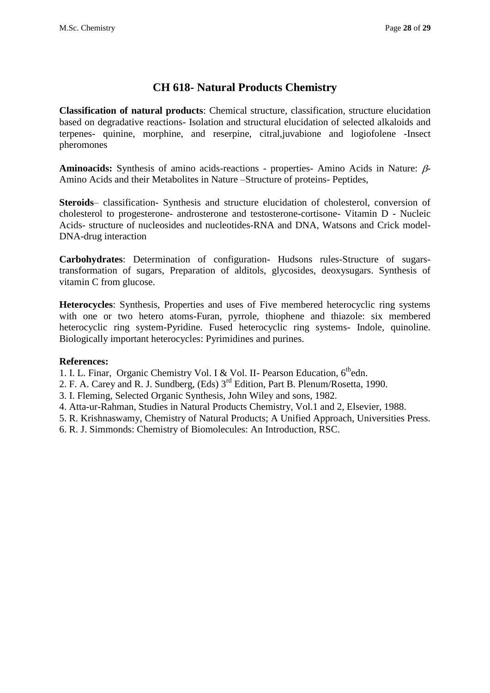## **CH 618- Natural Products Chemistry**

**Classification of natural products**: Chemical structure, classification, structure elucidation based on degradative reactions- Isolation and structural elucidation of selected alkaloids and terpenes- quinine, morphine, and reserpine, citral,juvabione and logiofolene -Insect pheromones

**Aminoacids:** Synthesis of amino acids-reactions - properties- Amino Acids in Nature:  $\beta$ -Amino Acids and their Metabolites in Nature –Structure of proteins- Peptides,

**Steroids**– classification- Synthesis and structure elucidation of cholesterol, conversion of cholesterol to progesterone- androsterone and testosterone-cortisone- Vitamin D - Nucleic Acids- structure of nucleosides and nucleotides-RNA and DNA, Watsons and Crick model-DNA-drug interaction

**Carbohydrates**: Determination of configuration- Hudsons rules-Structure of sugarstransformation of sugars, Preparation of alditols, glycosides, deoxysugars. Synthesis of vitamin C from glucose.

**Heterocycles**: Synthesis, Properties and uses of Five membered heterocyclic ring systems with one or two hetero atoms-Furan, pyrrole, thiophene and thiazole: six membered heterocyclic ring system-Pyridine. Fused heterocyclic ring systems- Indole, quinoline. Biologically important heterocycles: Pyrimidines and purines.

- 1. I. L. Finar, Organic Chemistry Vol. I & Vol. II- Pearson Education, 6<sup>th</sup>edn.
- 2. F. A. Carey and R. J. Sundberg, (Eds) 3<sup>rd</sup> Edition, Part B. Plenum/Rosetta, 1990.
- 3. I. Fleming, Selected Organic Synthesis, John Wiley and sons, 1982.
- 4. Atta-ur-Rahman, Studies in Natural Products Chemistry, Vol.1 and 2, Elsevier, 1988.
- 5. R. Krishnaswamy, Chemistry of Natural Products; A Unified Approach, Universities Press.
- 6. R. J. Simmonds: Chemistry of Biomolecules: An Introduction, RSC.